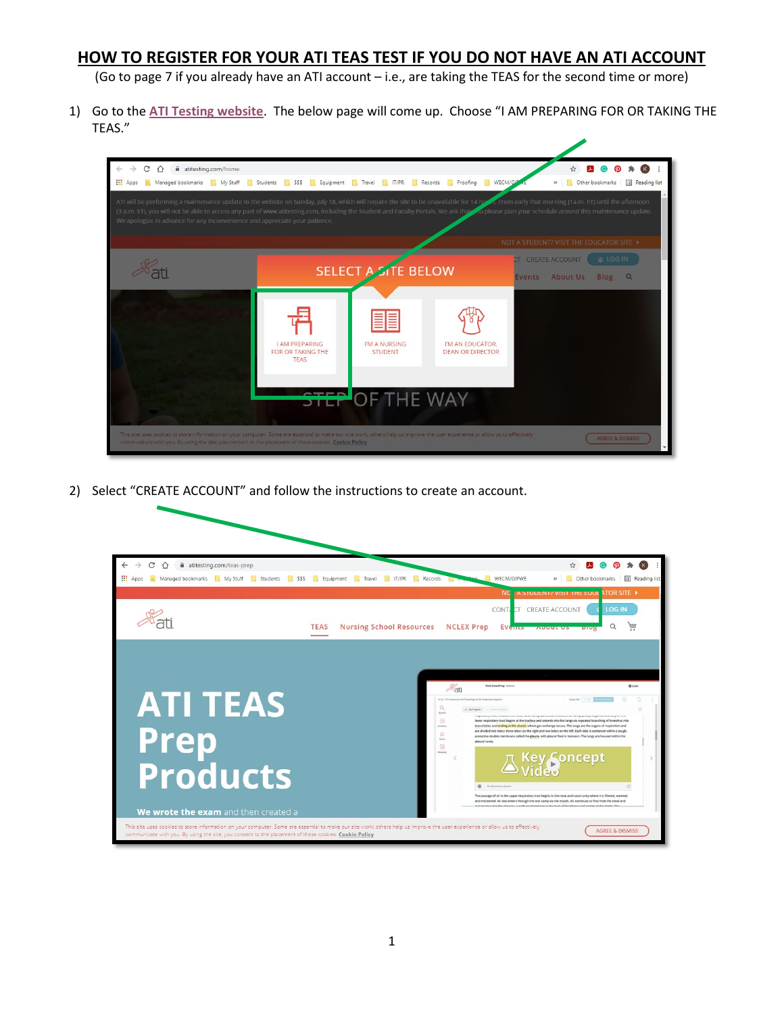## **HOW TO REGISTER FOR YOUR ATI TEAS TEST IF YOU DO NOT HAVE AN ATI ACCOUNT**

(Go to page 7 if you already have an ATI account – i.e., are taking the TEAS for the second time or more)

1) Go to the **[ATI Testing website](https://atitesting.com/)**. The below page will come up. Choose "I AM PREPARING FOR OR TAKING THE TEAS."



2) Select "CREATE ACCOUNT" and follow the instructions to create an account.

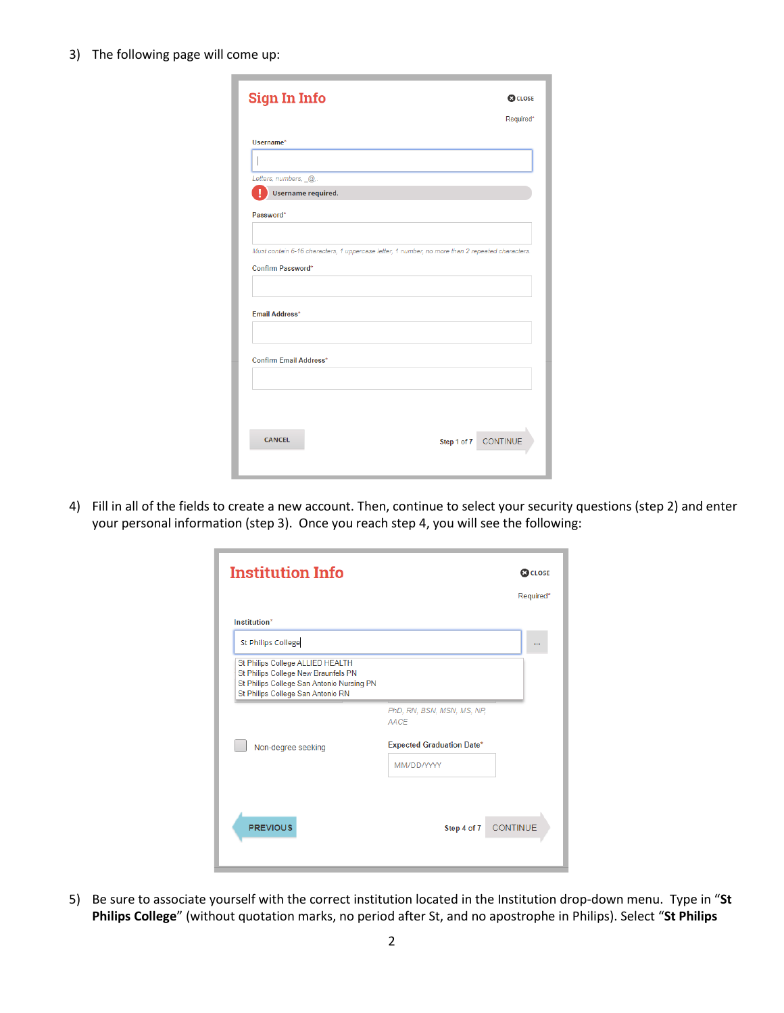3) The following page will come up:

| <b>Sign In Info</b>           | <b>CO</b> CLOSE                                                                                 |
|-------------------------------|-------------------------------------------------------------------------------------------------|
|                               | Required*                                                                                       |
| Username*                     |                                                                                                 |
|                               |                                                                                                 |
| Letters, numbers, _@,.        |                                                                                                 |
| Username required.            |                                                                                                 |
| Password*                     |                                                                                                 |
|                               |                                                                                                 |
|                               | Must contain 6-16 characters, 1 uppercase letter, 1 number, no more than 2 repeated characters. |
| Confirm Password*             |                                                                                                 |
|                               |                                                                                                 |
|                               |                                                                                                 |
| <b>Email Address*</b>         |                                                                                                 |
|                               |                                                                                                 |
|                               |                                                                                                 |
| <b>Confirm Email Address*</b> |                                                                                                 |
|                               |                                                                                                 |
|                               |                                                                                                 |
|                               |                                                                                                 |
|                               |                                                                                                 |
|                               |                                                                                                 |
| <b>CANCEL</b>                 | Step 1 of 7 CONTINUE                                                                            |
|                               |                                                                                                 |
|                               |                                                                                                 |

4) Fill in all of the fields to create a new account. Then, continue to select your security questions (step 2) and enter your personal information (step 3). Once you reach step 4, you will see the following:

| <b>Institution Info</b>                                                                                                                                   |                                           | <b>@</b> CLOSE  |
|-----------------------------------------------------------------------------------------------------------------------------------------------------------|-------------------------------------------|-----------------|
|                                                                                                                                                           |                                           | Required*       |
| Institution*<br>St Philips College                                                                                                                        |                                           |                 |
| St Philips College ALLIED HEALTH<br>St Philips College New Braunfels PN<br>St Philips College San Antonio Nursing PN<br>St Philips College San Antonio RN |                                           |                 |
|                                                                                                                                                           | PhD, RN, BSN, MSN, MS, NP,<br><b>AACE</b> |                 |
| Non-degree seeking                                                                                                                                        | <b>Expected Graduation Date*</b>          |                 |
|                                                                                                                                                           | MM/DD/YYYY                                |                 |
| <b>PREVIOUS</b>                                                                                                                                           | Step 4 of 7                               | <b>CONTINUE</b> |

5) Be sure to associate yourself with the correct institution located in the Institution drop-down menu. Type in "**St Philips College**" (without quotation marks, no period after St, and no apostrophe in Philips). Select "**St Philips**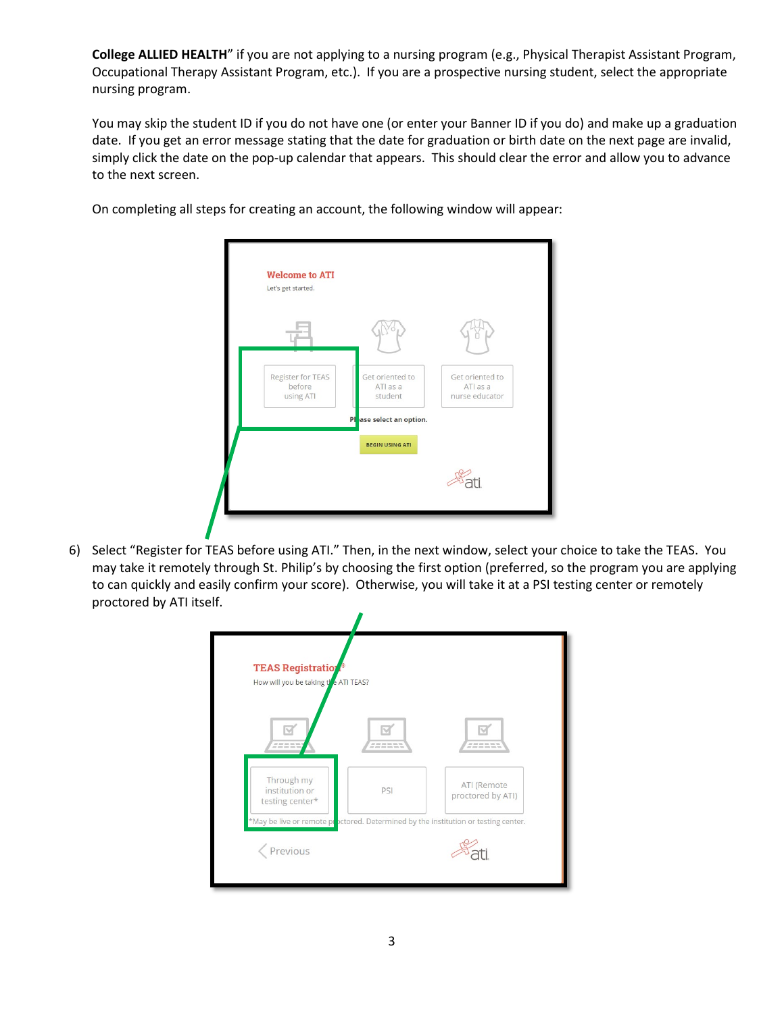**College ALLIED HEALTH**" if you are not applying to a nursing program (e.g., Physical Therapist Assistant Program, Occupational Therapy Assistant Program, etc.). If you are a prospective nursing student, select the appropriate nursing program.

You may skip the student ID if you do not have one (or enter your Banner ID if you do) and make up a graduation date. If you get an error message stating that the date for graduation or birth date on the next page are invalid, simply click the date on the pop-up calendar that appears. This should clear the error and allow you to advance to the next screen.



On completing all steps for creating an account, the following window will appear:

6) Select "Register for TEAS before using ATI." Then, in the next window, select your choice to take the TEAS. You may take it remotely through St. Philip's by choosing the first option (preferred, so the program you are applying to can quickly and easily confirm your score). Otherwise, you will take it at a PSI testing center or remotely proctored by ATI itself.

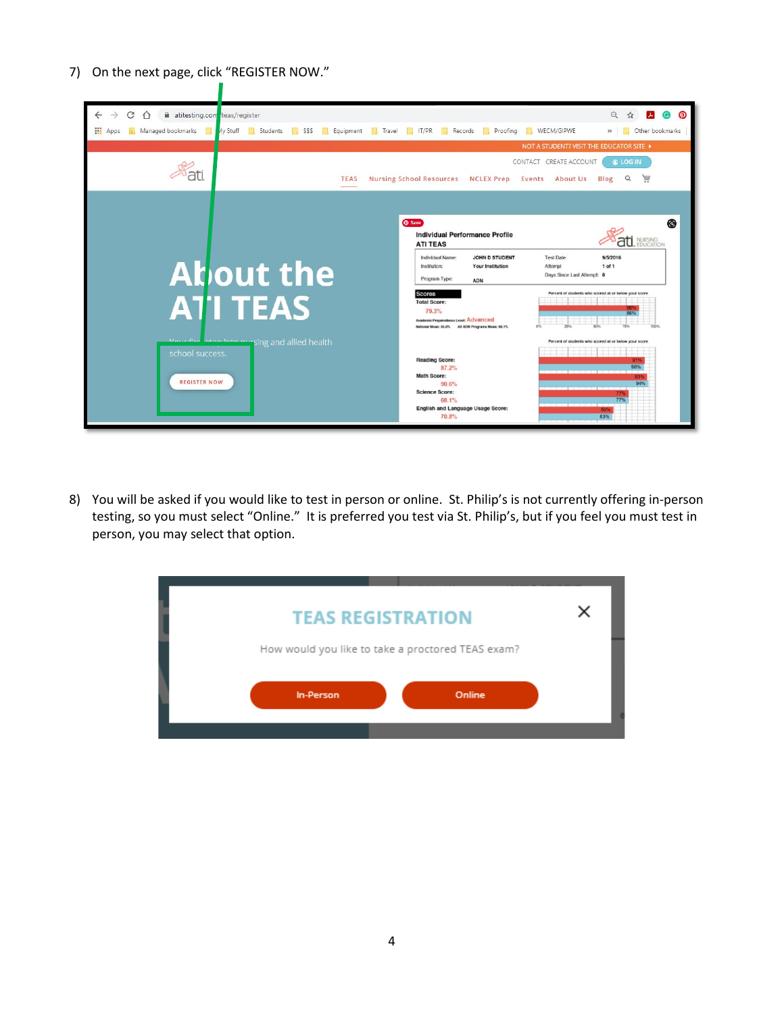7) On the next page, click "REGISTER NOW."



8) You will be asked if you would like to test in person or online. St. Philip's is not currently offering in-person testing, so you must select "Online." It is preferred you test via St. Philip's, but if you feel you must test in person, you may select that option.

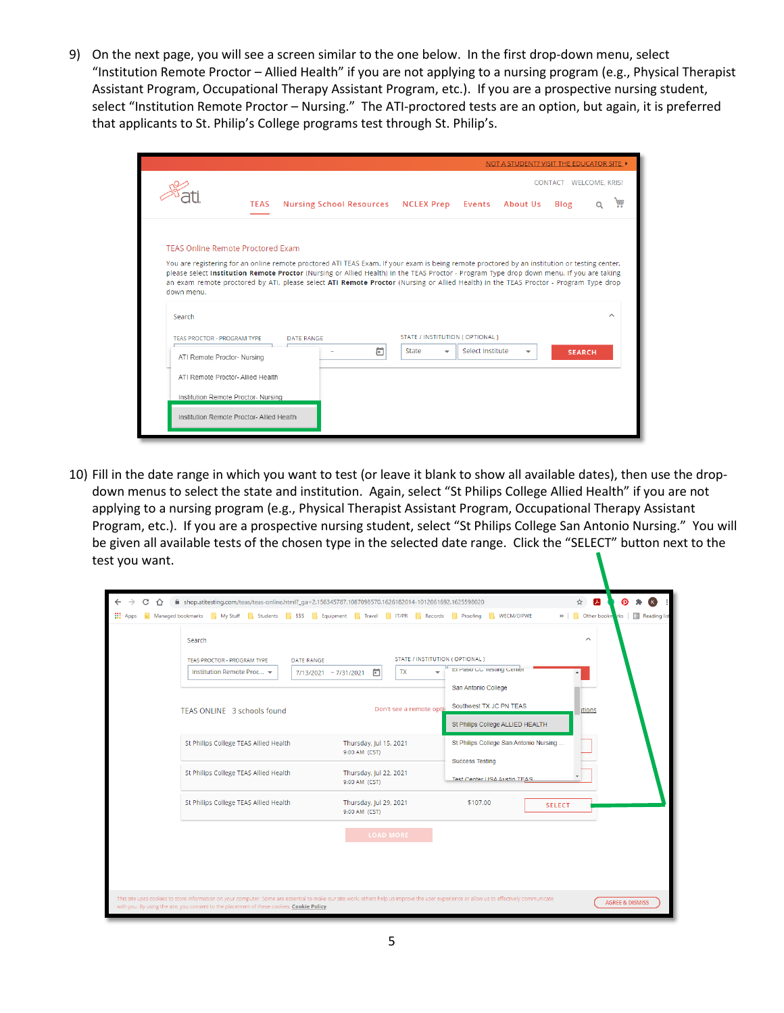9) On the next page, you will see a screen similar to the one below. In the first drop-down menu, select "Institution Remote Proctor – Allied Health" if you are not applying to a nursing program (e.g., Physical Therapist Assistant Program, Occupational Therapy Assistant Program, etc.). If you are a prospective nursing student, select "Institution Remote Proctor – Nursing." The ATI-proctored tests are an option, but again, it is preferred that applicants to St. Philip's College programs test through St. Philip's.

|                                           |             |                                                                                                                                                                                                                                                                                           |   |                                         |                  | NOT A STUDENT? VISIT THE EDUCATOR SITE > |               |                        |
|-------------------------------------------|-------------|-------------------------------------------------------------------------------------------------------------------------------------------------------------------------------------------------------------------------------------------------------------------------------------------|---|-----------------------------------------|------------------|------------------------------------------|---------------|------------------------|
|                                           |             |                                                                                                                                                                                                                                                                                           |   |                                         |                  |                                          |               | CONTACT WELCOME, KRIS! |
|                                           | <b>TEAS</b> | Nursing School Resources NCLEX Prep Events About Us                                                                                                                                                                                                                                       |   |                                         |                  |                                          | Blog          |                        |
| <b>TEAS Online Remote Proctored Exam</b>  |             |                                                                                                                                                                                                                                                                                           |   |                                         |                  |                                          |               |                        |
|                                           |             | You are registering for an online remote proctored ATI TEAS Exam. If your exam is being remote proctored by an institution or testing center,<br>please select Institution Remote Proctor (Nursing or Allied Health) in the TEAS Proctor - Program Type drop down menu. If you are taking |   |                                         |                  |                                          |               |                        |
| down menu.                                |             | an exam remote proctored by ATI, please select ATI Remote Proctor (Nursing or Allied Health) in the TEAS Proctor - Program Type drop                                                                                                                                                      |   |                                         |                  |                                          |               |                        |
| Search                                    |             |                                                                                                                                                                                                                                                                                           |   |                                         |                  |                                          |               | ㅅ                      |
| <b>TEAS PROCTOR - PROGRAM TYPE</b>        |             | <b>DATE RANGE</b>                                                                                                                                                                                                                                                                         |   | <b>STATE / INSTITUTION ( OPTIONAL )</b> |                  |                                          |               |                        |
| ATI Remote Proctor- Nursing               |             |                                                                                                                                                                                                                                                                                           | 卣 | State<br>$\overline{\phantom{a}}$       | Select Institute | $\overline{\phantom{a}}$                 | <b>SEARCH</b> |                        |
| ATI Remote Proctor- Allied Health         |             |                                                                                                                                                                                                                                                                                           |   |                                         |                  |                                          |               |                        |
|                                           |             |                                                                                                                                                                                                                                                                                           |   |                                         |                  |                                          |               |                        |
| Institution Remote Proctor- Nursing       |             |                                                                                                                                                                                                                                                                                           |   |                                         |                  |                                          |               |                        |
| Institution Remote Proctor- Allied Health |             |                                                                                                                                                                                                                                                                                           |   |                                         |                  |                                          |               |                        |

10) Fill in the date range in which you want to test (or leave it blank to show all available dates), then use the dropdown menus to select the state and institution. Again, select "St Philips College Allied Health" if you are not applying to a nursing program (e.g., Physical Therapist Assistant Program, Occupational Therapy Assistant Program, etc.). If you are a prospective nursing student, select "St Philips College San Antonio Nursing." You will be given all available tests of the chosen type in the selected date range. Click the "SELECT" button next to the test you want.

| C<br>←<br>$\bigcap$ | n shop.atitesting.com/teas/teas-online.html?_ga=2.156345787.1087098570.1626182014-1012061692.1625598020                                                                                                                                                                                |                                                                                                                                                                                                                |                                                                                                                                                                                                                                                 | ☆<br>医                                   |
|---------------------|----------------------------------------------------------------------------------------------------------------------------------------------------------------------------------------------------------------------------------------------------------------------------------------|----------------------------------------------------------------------------------------------------------------------------------------------------------------------------------------------------------------|-------------------------------------------------------------------------------------------------------------------------------------------------------------------------------------------------------------------------------------------------|------------------------------------------|
| <b>III</b> Apps     | Managed bookmarks My Stuff Managed The Students Managed Engineering Travel Managed bookmarks Managed                                                                                                                                                                                   |                                                                                                                                                                                                                | WECM/GIPWE<br>$\Box$                                                                                                                                                                                                                            | >> Cther bookn rks   E Reading list      |
|                     | Search<br>TEAS PROCTOR - PROGRAM TYPE<br>DATE RANGE<br>Institution Remote Proc -<br>7/13/2021 - 7/31/2021<br>TEAS ONLINE 3 schools found<br>St Philips College TEAS Allied Health<br>St Philips College TEAS Allied Health<br>St Philips College TEAS Allied Health                    | STATE / INSTITUTION ( OPTIONAL )<br>茴<br><b>TX</b><br>Don't see a remote opti<br>Thursday, Jul 15, 2021<br>9:00 AM (CST)<br>Thursday, Jul 22, 2021<br>9:00 AM (CST)<br>Thursday, Jul 29, 2021<br>9:00 AM (CST) | El Paso CC Testing Center<br>San Antonio College<br>Southwest TX JC PN TEAS<br>St Philips College ALLIED HEALTH<br>St Philips College San Antonio Nursing<br><b>Success Testing</b><br>Test Center USA Austin TEAS<br>\$107.00<br><b>SELECT</b> | $\widehat{\phantom{a}}$<br><b>ptions</b> |
|                     |                                                                                                                                                                                                                                                                                        | <b>LOAD MORE</b>                                                                                                                                                                                               |                                                                                                                                                                                                                                                 |                                          |
|                     |                                                                                                                                                                                                                                                                                        |                                                                                                                                                                                                                |                                                                                                                                                                                                                                                 |                                          |
|                     | This site uses cookies to store information on your computer. Some are essential to make our site work; others help us improve the user experience or allow us to effectively communicate<br>with you. By using the site, you consent to the placement of these cookies. Cookie Policy |                                                                                                                                                                                                                |                                                                                                                                                                                                                                                 | <b>AGREE &amp; DISMISS</b>               |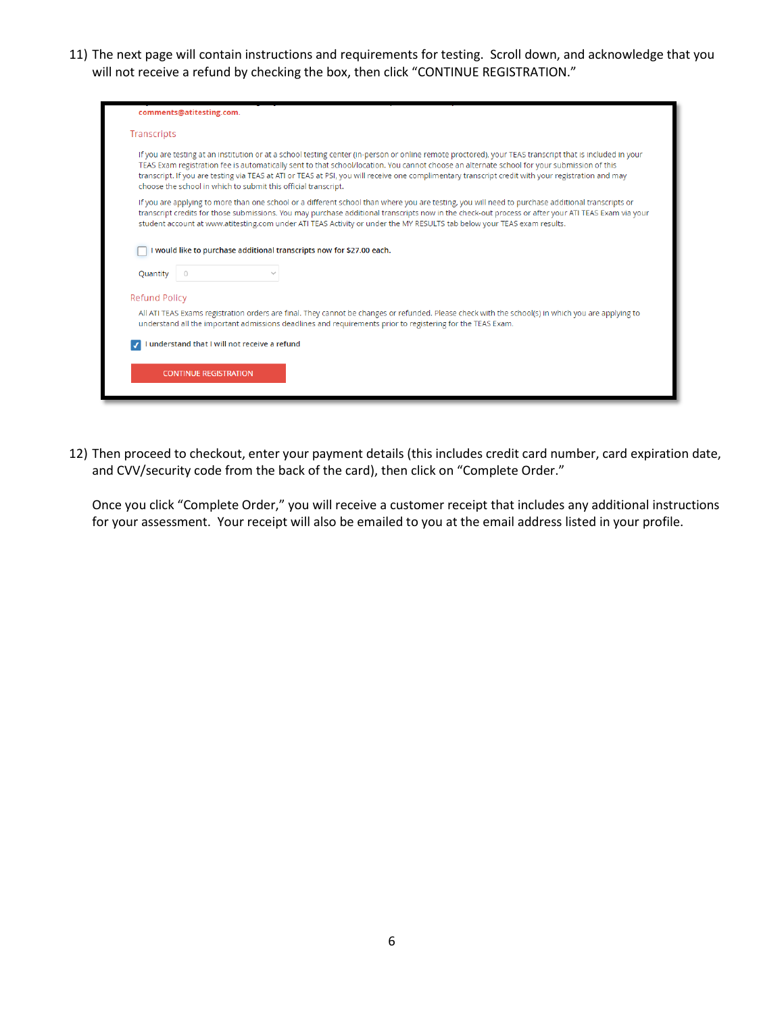11) The next page will contain instructions and requirements for testing. Scroll down, and acknowledge that you will not receive a refund by checking the box, then click "CONTINUE REGISTRATION."

| comments@atitesting.com.                                                                                                                                                                                                                                                                                                                                                                                                                                                                                                        |  |
|---------------------------------------------------------------------------------------------------------------------------------------------------------------------------------------------------------------------------------------------------------------------------------------------------------------------------------------------------------------------------------------------------------------------------------------------------------------------------------------------------------------------------------|--|
| Transcripts                                                                                                                                                                                                                                                                                                                                                                                                                                                                                                                     |  |
| If you are testing at an institution or at a school testing center (in-person or online remote proctored), your TEAS transcript that is included in your<br>TEAS Exam registration fee is automatically sent to that school/location. You cannot choose an alternate school for your submission of this<br>transcript. If you are testing via TEAS at ATI or TEAS at PSI, you will receive one complimentary transcript credit with your registration and may<br>choose the school in which to submit this official transcript. |  |
| If you are applying to more than one school or a different school than where you are testing, you will need to purchase additional transcripts or<br>transcript credits for those submissions. You may purchase additional transcripts now in the check-out process or after your ATI TEAS Exam via your<br>student account at www.atitesting.com under ATI TEAS Activity or under the MY RESULTS tab below your TEAS exam results.                                                                                             |  |
| I would like to purchase additional transcripts now for \$27.00 each.                                                                                                                                                                                                                                                                                                                                                                                                                                                           |  |
| Quantity                                                                                                                                                                                                                                                                                                                                                                                                                                                                                                                        |  |
| <b>Refund Policy</b>                                                                                                                                                                                                                                                                                                                                                                                                                                                                                                            |  |
| All ATI TEAS Exams registration orders are final. They cannot be changes or refunded. Please check with the school(s) in which you are applying to<br>understand all the important admissions deadlines and requirements prior to registering for the TEAS Exam.                                                                                                                                                                                                                                                                |  |
| understand that I will not receive a refund                                                                                                                                                                                                                                                                                                                                                                                                                                                                                     |  |
| <b>CONTINUE REGISTRATION</b>                                                                                                                                                                                                                                                                                                                                                                                                                                                                                                    |  |
|                                                                                                                                                                                                                                                                                                                                                                                                                                                                                                                                 |  |

12) Then proceed to checkout, enter your payment details (this includes credit card number, card expiration date, and CVV/security code from the back of the card), then click on "Complete Order."

Once you click "Complete Order," you will receive a customer receipt that includes any additional instructions for your assessment. Your receipt will also be emailed to you at the email address listed in your profile.